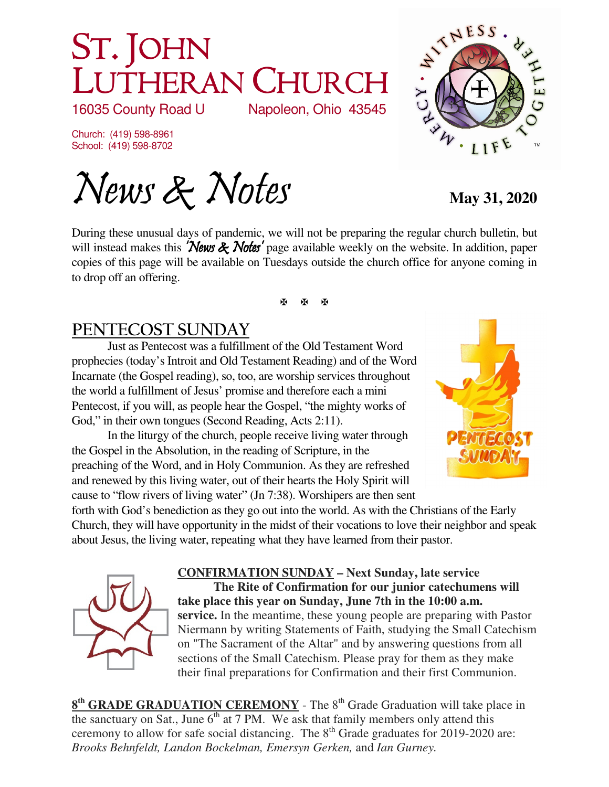# ST. JOHN LUTHERAN CHURCH<br>16035 County Road U Napoleon, Ohio 43545

16035 County Road U

Church: (419) 598-8961 School: (419) 598-8702

News & Notes May 31, 2020

During these unusual days of pandemic, we will not be preparing the regular church bulletin, but will instead makes this **'News & Notes'** page available weekly on the website. In addition, paper copies of this page will be available on Tuesdays outside the church office for anyone coming in to drop off an offering.

医图图

# **PENTECOST SUNDAY**

Just as Pentecost was a fulfillment of the Old Testament Word prophecies (today's Introit and Old Testament Reading) and of the Word Incarnate (the Gospel reading), so, too, are worship services throughout the world a fulfillment of Jesus' promise and therefore each a mini Pentecost, if you will, as people hear the Gospel, "the mighty works of God," in their own tongues (Second Reading, Acts 2:11).

In the liturgy of the church, people receive living water through the Gospel in the Absolution, in the reading of Scripture, in the preaching of the Word, and in Holy Communion. As they are refreshed and renewed by this living water, out of their hearts the Holy Spirit will cause to "flow rivers of living water" (Jn 7:38). Worshipers are then sent



forth with God's benediction as they go out into the world. As with the Christians of the Early Church, they will have opportunity in the midst of their vocations to love their neighbor and speak about Jesus, the living water, repeating what they have learned from their pastor.



**CONFIRMATION SUNDAY – Next Sunday, late service The Rite of Confirmation for our junior catechumens will take place this year on Sunday, June 7th in the 10:00 a.m. service.** In the meantime, these young people are preparing with Pastor Niermann by writing Statements of Faith, studying the Small Catechism on "The Sacrament of the Altar" and by answering questions from all sections of the Small Catechism. Please pray for them as they make their final preparations for Confirmation and their first Communion.

**8<sup>th</sup> GRADE GRADUATION CEREMONY** - The 8<sup>th</sup> Grade Graduation will take place in the sanctuary on Sat., June  $6<sup>th</sup>$  at 7 PM. We ask that family members only attend this ceremony to allow for safe social distancing. The  $8<sup>th</sup>$  Grade graduates for 2019-2020 are: *Brooks Behnfeldt, Landon Bockelman, Emersyn Gerken,* and *Ian Gurney.*



· LIF

NAMESS

**CANNA**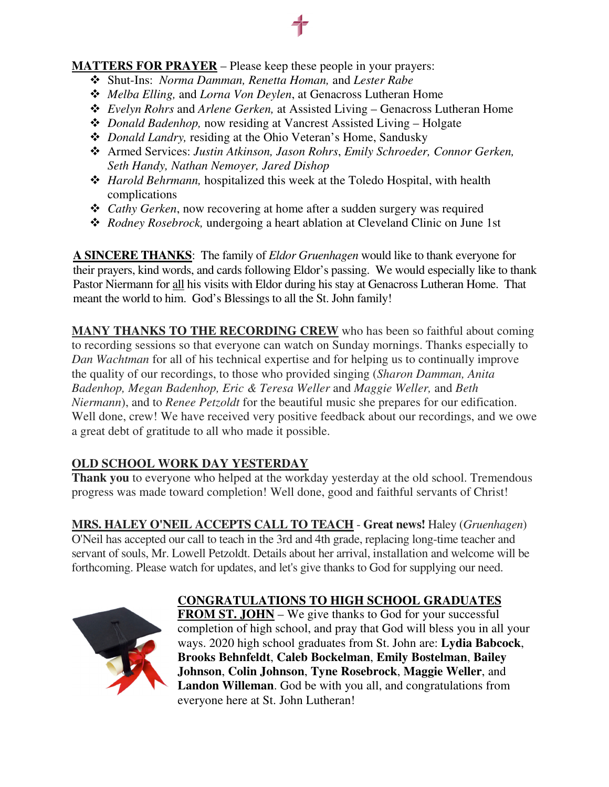#### **MATTERS FOR PRAYER** – Please keep these people in your prayers:

- Shut-Ins: *Norma Damman, Renetta Homan,* and *Lester Rabe*
- *Melba Elling,* and *Lorna Von Deylen*, at Genacross Lutheran Home
- *Evelyn Rohrs* and *Arlene Gerken,* at Assisted Living Genacross Lutheran Home
- *Donald Badenhop,* now residing at Vancrest Assisted Living Holgate
- *Donald Landry,* residing at the Ohio Veteran's Home, Sandusky
- Armed Services: *Justin Atkinson, Jason Rohrs*, *Emily Schroeder, Connor Gerken, Seth Handy, Nathan Nemoyer, Jared Dishop*
- *Harold Behrmann,* hospitalized this week at the Toledo Hospital, with health complications
- *Cathy Gerken*, now recovering at home after a sudden surgery was required
- *Rodney Rosebrock,* undergoing a heart ablation at Cleveland Clinic on June 1st

**A SINCERE THANKS**: The family of *Eldor Gruenhagen* would like to thank everyone for their prayers, kind words, and cards following Eldor's passing. We would especially like to thank Pastor Niermann for all his visits with Eldor during his stay at Genacross Lutheran Home. That meant the world to him. God's Blessings to all the St. John family!

**MANY THANKS TO THE RECORDING CREW** who has been so faithful about coming to recording sessions so that everyone can watch on Sunday mornings. Thanks especially to *Dan Wachtman* for all of his technical expertise and for helping us to continually improve the quality of our recordings, to those who provided singing (*Sharon Damman, Anita Badenhop, Megan Badenhop, Eric & Teresa Weller* and *Maggie Weller,* and *Beth Niermann*), and to *Renee Petzoldt* for the beautiful music she prepares for our edification. Well done, crew! We have received very positive feedback about our recordings, and we owe a great debt of gratitude to all who made it possible.

# **OLD SCHOOL WORK DAY YESTERDAY**

**Thank you** to everyone who helped at the workday yesterday at the old school. Tremendous progress was made toward completion! Well done, good and faithful servants of Christ!

**MRS. HALEY O'NEIL ACCEPTS CALL TO TEACH** - **Great news!** Haley (*Gruenhagen*) O'Neil has accepted our call to teach in the 3rd and 4th grade, replacing long-time teacher and servant of souls, Mr. Lowell Petzoldt. Details about her arrival, installation and welcome will be forthcoming. Please watch for updates, and let's give thanks to God for supplying our need.



# **CONGRATULATIONS TO HIGH SCHOOL GRADUATES**

**FROM ST. JOHN** – We give thanks to God for your successful completion of high school, and pray that God will bless you in all your ways. 2020 high school graduates from St. John are: **Lydia Babcock**, **Brooks Behnfeldt**, **Caleb Bockelman**, **Emily Bostelman**, **Bailey Johnson**, **Colin Johnson**, **Tyne Rosebrock**, **Maggie Weller**, and **Landon Willeman**. God be with you all, and congratulations from everyone here at St. John Lutheran!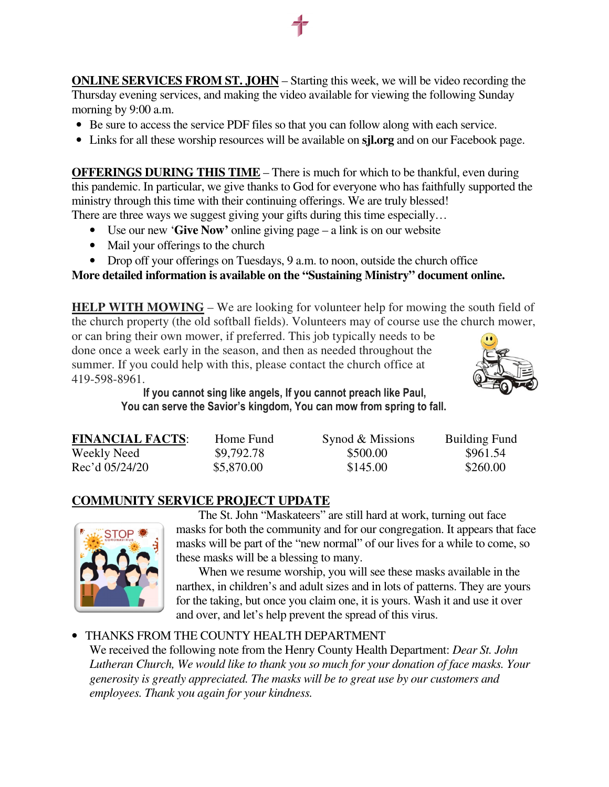**ONLINE SERVICES FROM ST. JOHN** – Starting this week, we will be video recording the Thursday evening services, and making the video available for viewing the following Sunday morning by 9:00 a.m.

- Be sure to access the service PDF files so that you can follow along with each service.
- Links for all these worship resources will be available on **sjl.org** and on our Facebook page.

**OFFERINGS DURING THIS TIME** – There is much for which to be thankful, even during this pandemic. In particular, we give thanks to God for everyone who has faithfully supported the ministry through this time with their continuing offerings. We are truly blessed! There are three ways we suggest giving your gifts during this time especially...

- Use our new '**Give Now'** online giving page a link is on our website
- Mail your offerings to the church
- Drop off your offerings on Tuesdays, 9 a.m. to noon, outside the church office

## **More detailed information is available on the "Sustaining Ministry" document online.**

**HELP WITH MOWING** – We are looking for volunteer help for mowing the south field of the church property (the old softball fields). Volunteers may of course use the church mower,

or can bring their own mower, if preferred. This job typically needs to be done once a week early in the season, and then as needed throughout the summer. If you could help with this, please contact the church office at 419-598-8961.



**If you cannot sing like angels, If you cannot preach like Paul, You can serve the Savior's kingdom, You can mow from spring to fall.** 

| <b>FINANCIAL FACTS:</b> | Home Fund  | Synod & Missions | <b>Building Fund</b> |
|-------------------------|------------|------------------|----------------------|
| Weekly Need             | \$9,792.78 | \$500.00         | \$961.54             |
| Rec'd 05/24/20          | \$5,870.00 | \$145.00         | \$260.00             |

#### **COMMUNITY SERVICE PROJECT UPDATE**



The St. John "Maskateers" are still hard at work, turning out face masks for both the community and for our congregation. It appears that face masks will be part of the "new normal" of our lives for a while to come, so these masks will be a blessing to many.

When we resume worship, you will see these masks available in the narthex, in children's and adult sizes and in lots of patterns. They are yours for the taking, but once you claim one, it is yours. Wash it and use it over and over, and let's help prevent the spread of this virus.

#### • THANKS FROM THE COUNTY HEALTH DEPARTMENT

We received the following note from the Henry County Health Department: *Dear St. John Lutheran Church, We would like to thank you so much for your donation of face masks. Your generosity is greatly appreciated. The masks will be to great use by our customers and employees. Thank you again for your kindness.*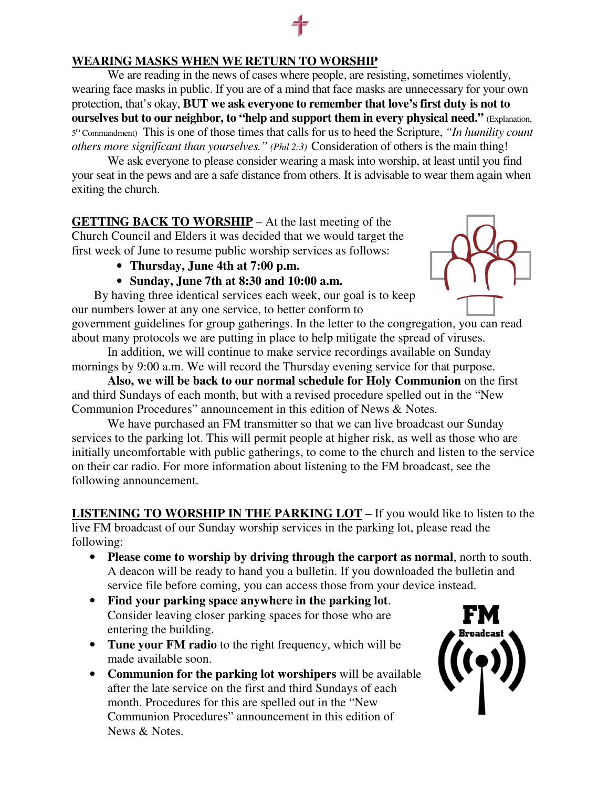#### **WEARING MASKS WHEN WE RETURN TO WORSHIP**

We are reading in the news of cases where people, are resisting, sometimes violently, wearing face masks in public. If you are of a mind that face masks are unnecessary for your own protection, that's okay, **BUT we ask everyone to remember that love's first duty is not to ourselves but to our neighbor, to "help and support them in every physical need."** (Explanation, 5 th Commandment) This is one of those times that calls for us to heed the Scripture, *"In humility count others more significant than yourselves." (Phil 2:3)* Consideration of others is the main thing!

We ask everyone to please consider wearing a mask into worship, at least until you find your seat in the pews and are a safe distance from others. It is advisable to wear them again when exiting the church.

**GETTING BACK TO WORSHIP** – At the last meeting of the Church Council and Elders it was decided that we would target the first week of June to resume public worship services as follows:

- **Thursday, June 4th at 7:00 p.m.**
- **Sunday, June 7th at 8:30 and 10:00 a.m.**

By having three identical services each week, our goal is to keep our numbers lower at any one service, to better conform to

government guidelines for group gatherings. In the letter to the congregation, you can read about many protocols we are putting in place to help mitigate the spread of viruses. In addition, we will continue to make service recordings available on Sunday

mornings by 9:00 a.m. We will record the Thursday evening service for that purpose.

**Also, we will be back to our normal schedule for Holy Communion** on the first and third Sundays of each month, but with a revised procedure spelled out in the "New Communion Procedures" announcement in this edition of News & Notes.

We have purchased an FM transmitter so that we can live broadcast our Sunday services to the parking lot. This will permit people at higher risk, as well as those who are initially uncomfortable with public gatherings, to come to the church and listen to the service on their car radio. For more information about listening to the FM broadcast, see the following announcement.

**LISTENING TO WORSHIP IN THE PARKING LOT** – If you would like to listen to the live FM broadcast of our Sunday worship services in the parking lot, please read the following:

- **Please come to worship by driving through the carport as normal**, north to south. A deacon will be ready to hand you a bulletin. If you downloaded the bulletin and service file before coming, you can access those from your device instead.
- **Find your parking space anywhere in the parking lot**. Consider leaving closer parking spaces for those who are entering the building.
- **Tune your FM radio** to the right frequency, which will be made available soon.
- **Communion for the parking lot worshipers** will be available after the late service on the first and third Sundays of each month. Procedures for this are spelled out in the "New Communion Procedures" announcement in this edition of News & Notes.